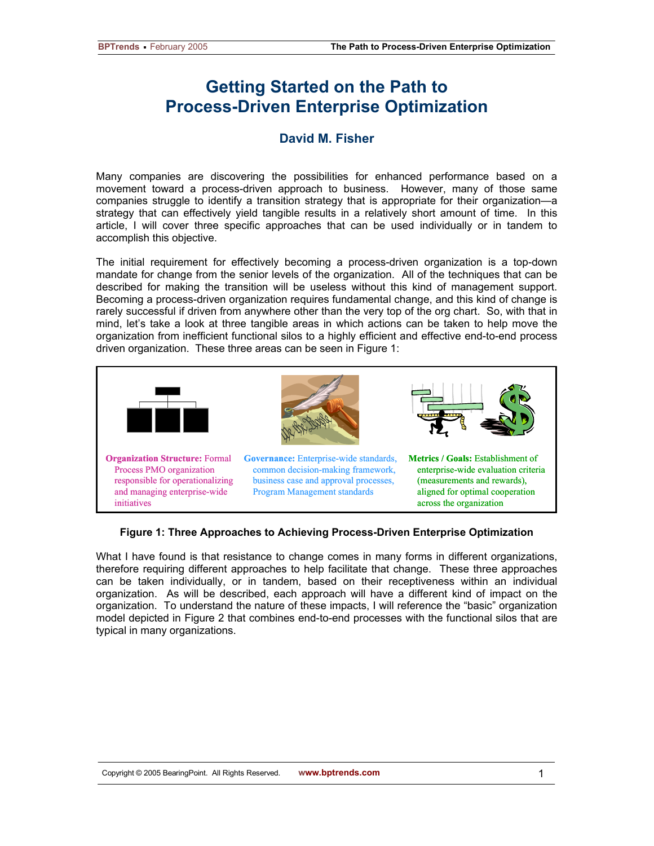## **Getting Started on the Path to Process-Driven Enterprise Optimization**

## **David M. Fisher**

Many companies are discovering the possibilities for enhanced performance based on a movement toward a process-driven approach to business. However, many of those same companies struggle to identify a transition strategy that is appropriate for their organization—a strategy that can effectively yield tangible results in a relatively short amount of time. In this article, I will cover three specific approaches that can be used individually or in tandem to accomplish this objective.

The initial requirement for effectively becoming a process-driven organization is a top-down mandate for change from the senior levels of the organization. All of the techniques that can be described for making the transition will be useless without this kind of management support. Becoming a process-driven organization requires fundamental change, and this kind of change is rarely successful if driven from anywhere other than the very top of the org chart. So, with that in mind, let's take a look at three tangible areas in which actions can be taken to help move the organization from inefficient functional silos to a highly efficient and effective end-to-end process driven organization. These three areas can be seen in Figure 1:



## **Figure 1: Three Approaches to Achieving Process-Driven Enterprise Optimization**

What I have found is that resistance to change comes in many forms in different organizations, therefore requiring different approaches to help facilitate that change. These three approaches can be taken individually, or in tandem, based on their receptiveness within an individual organization. As will be described, each approach will have a different kind of impact on the organization. To understand the nature of these impacts, I will reference the "basic" organization model depicted in Figure 2 that combines end-to-end processes with the functional silos that are typical in many organizations.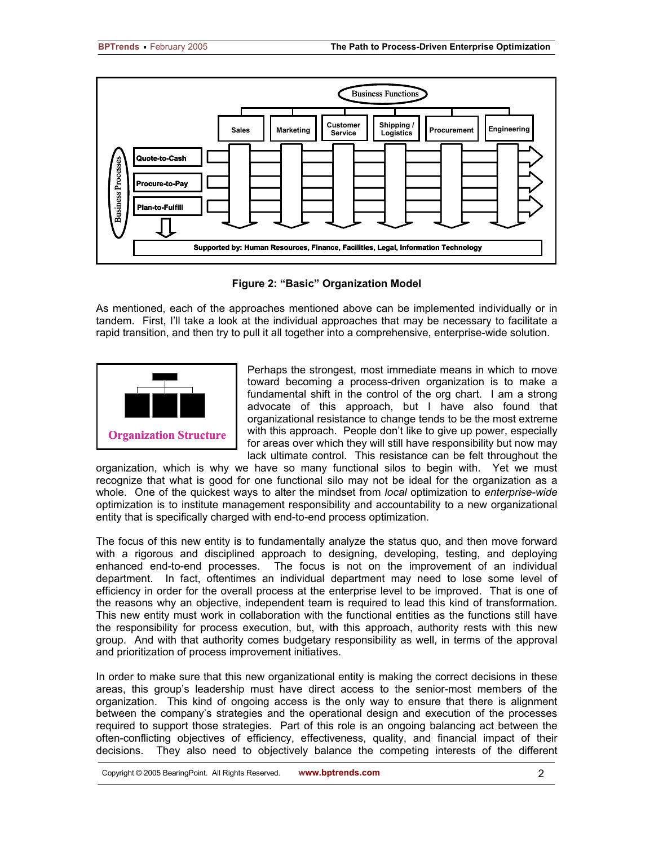

**Figure 2: "Basic" Organization Model** 

As mentioned, each of the approaches mentioned above can be implemented individually or in tandem. First, I'll take a look at the individual approaches that may be necessary to facilitate a rapid transition, and then try to pull it all together into a comprehensive, enterprise-wide solution.



Perhaps the strongest, most immediate means in which to move toward becoming a process-driven organization is to make a fundamental shift in the control of the org chart. I am a strong advocate of this approach, but I have also found that organizational resistance to change tends to be the most extreme with this approach. People don't like to give up power, especially for areas over which they will still have responsibility but now may lack ultimate control. This resistance can be felt throughout the

organization, which is why we have so many functional silos to begin with. Yet we must recognize that what is good for one functional silo may not be ideal for the organization as a whole. One of the quickest ways to alter the mindset from *local* optimization to *enterprise-wide* optimization is to institute management responsibility and accountability to a new organizational entity that is specifically charged with end-to-end process optimization.

The focus of this new entity is to fundamentally analyze the status quo, and then move forward with a rigorous and disciplined approach to designing, developing, testing, and deploying enhanced end-to-end processes. The focus is not on the improvement of an individual department. In fact, oftentimes an individual department may need to lose some level of efficiency in order for the overall process at the enterprise level to be improved. That is one of the reasons why an objective, independent team is required to lead this kind of transformation. This new entity must work in collaboration with the functional entities as the functions still have the responsibility for process execution, but, with this approach, authority rests with this new group. And with that authority comes budgetary responsibility as well, in terms of the approval and prioritization of process improvement initiatives.

In order to make sure that this new organizational entity is making the correct decisions in these areas, this group's leadership must have direct access to the senior-most members of the organization. This kind of ongoing access is the only way to ensure that there is alignment between the company's strategies and the operational design and execution of the processes required to support those strategies. Part of this role is an ongoing balancing act between the often-conflicting objectives of efficiency, effectiveness, quality, and financial impact of their decisions. They also need to objectively balance the competing interests of the different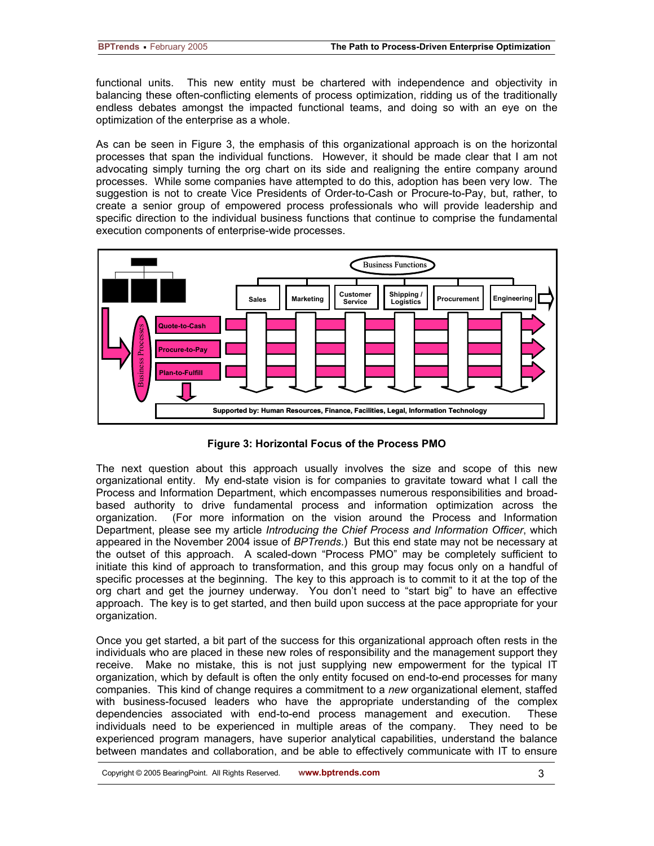functional units. This new entity must be chartered with independence and objectivity in balancing these often-conflicting elements of process optimization, ridding us of the traditionally endless debates amongst the impacted functional teams, and doing so with an eye on the optimization of the enterprise as a whole.

As can be seen in Figure 3, the emphasis of this organizational approach is on the horizontal processes that span the individual functions. However, it should be made clear that I am not advocating simply turning the org chart on its side and realigning the entire company around processes. While some companies have attempted to do this, adoption has been very low. The suggestion is not to create Vice Presidents of Order-to-Cash or Procure-to-Pay, but, rather, to create a senior group of empowered process professionals who will provide leadership and specific direction to the individual business functions that continue to comprise the fundamental execution components of enterprise-wide processes.



**Figure 3: Horizontal Focus of the Process PMO** 

The next question about this approach usually involves the size and scope of this new organizational entity. My end-state vision is for companies to gravitate toward what I call the Process and Information Department, which encompasses numerous responsibilities and broadbased authority to drive fundamental process and information optimization across the organization. (For more information on the vision around the Process and Information Department, please see my article *Introducing the Chief Process and Information Officer*, which appeared in the November 2004 issue of *BPTrends*.) But this end state may not be necessary at the outset of this approach. A scaled-down "Process PMO" may be completely sufficient to initiate this kind of approach to transformation, and this group may focus only on a handful of specific processes at the beginning. The key to this approach is to commit to it at the top of the org chart and get the journey underway. You don't need to "start big" to have an effective approach. The key is to get started, and then build upon success at the pace appropriate for your organization.

Once you get started, a bit part of the success for this organizational approach often rests in the individuals who are placed in these new roles of responsibility and the management support they receive. Make no mistake, this is not just supplying new empowerment for the typical IT organization, which by default is often the only entity focused on end-to-end processes for many companies. This kind of change requires a commitment to a *new* organizational element, staffed with business-focused leaders who have the appropriate understanding of the complex dependencies associated with end-to-end process management and execution. These individuals need to be experienced in multiple areas of the company. They need to be experienced program managers, have superior analytical capabilities, understand the balance between mandates and collaboration, and be able to effectively communicate with IT to ensure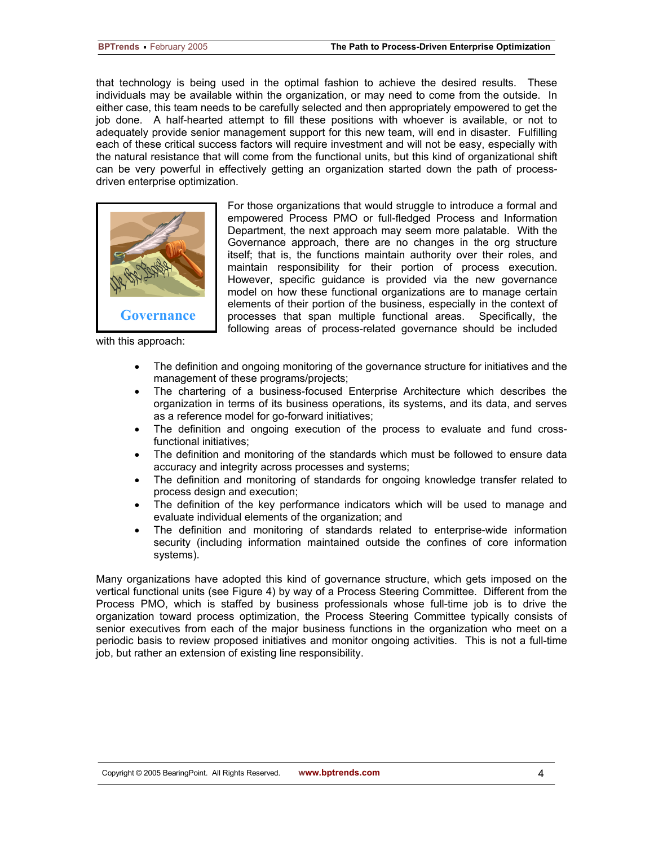that technology is being used in the optimal fashion to achieve the desired results. These individuals may be available within the organization, or may need to come from the outside. In either case, this team needs to be carefully selected and then appropriately empowered to get the job done. A half-hearted attempt to fill these positions with whoever is available, or not to adequately provide senior management support for this new team, will end in disaster. Fulfilling each of these critical success factors will require investment and will not be easy, especially with the natural resistance that will come from the functional units, but this kind of organizational shift can be very powerful in effectively getting an organization started down the path of processdriven enterprise optimization.



with this approach:

For those organizations that would struggle to introduce a formal and empowered Process PMO or full-fledged Process and Information Department, the next approach may seem more palatable. With the Governance approach, there are no changes in the org structure itself; that is, the functions maintain authority over their roles, and maintain responsibility for their portion of process execution. However, specific guidance is provided via the new governance model on how these functional organizations are to manage certain elements of their portion of the business, especially in the context of processes that span multiple functional areas. Specifically, the following areas of process-related governance should be included

- The definition and ongoing monitoring of the governance structure for initiatives and the management of these programs/projects;
- The chartering of a business-focused Enterprise Architecture which describes the organization in terms of its business operations, its systems, and its data, and serves as a reference model for go-forward initiatives;
- The definition and ongoing execution of the process to evaluate and fund crossfunctional initiatives;
- The definition and monitoring of the standards which must be followed to ensure data accuracy and integrity across processes and systems;
- The definition and monitoring of standards for ongoing knowledge transfer related to process design and execution;
- The definition of the key performance indicators which will be used to manage and evaluate individual elements of the organization; and
- The definition and monitoring of standards related to enterprise-wide information security (including information maintained outside the confines of core information systems).

Many organizations have adopted this kind of governance structure, which gets imposed on the vertical functional units (see Figure 4) by way of a Process Steering Committee. Different from the Process PMO, which is staffed by business professionals whose full-time job is to drive the organization toward process optimization, the Process Steering Committee typically consists of senior executives from each of the major business functions in the organization who meet on a periodic basis to review proposed initiatives and monitor ongoing activities. This is not a full-time job, but rather an extension of existing line responsibility.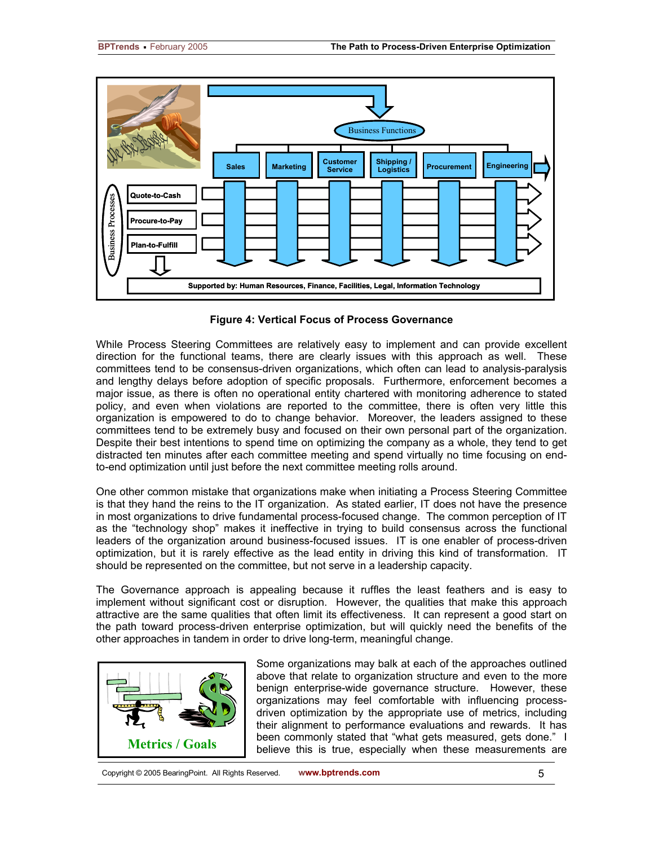

**Figure 4: Vertical Focus of Process Governance** 

While Process Steering Committees are relatively easy to implement and can provide excellent direction for the functional teams, there are clearly issues with this approach as well. These committees tend to be consensus-driven organizations, which often can lead to analysis-paralysis and lengthy delays before adoption of specific proposals. Furthermore, enforcement becomes a major issue, as there is often no operational entity chartered with monitoring adherence to stated policy, and even when violations are reported to the committee, there is often very little this organization is empowered to do to change behavior. Moreover, the leaders assigned to these committees tend to be extremely busy and focused on their own personal part of the organization. Despite their best intentions to spend time on optimizing the company as a whole, they tend to get distracted ten minutes after each committee meeting and spend virtually no time focusing on endto-end optimization until just before the next committee meeting rolls around.

One other common mistake that organizations make when initiating a Process Steering Committee is that they hand the reins to the IT organization. As stated earlier, IT does not have the presence in most organizations to drive fundamental process-focused change. The common perception of IT as the "technology shop" makes it ineffective in trying to build consensus across the functional leaders of the organization around business-focused issues. IT is one enabler of process-driven optimization, but it is rarely effective as the lead entity in driving this kind of transformation. IT should be represented on the committee, but not serve in a leadership capacity.

The Governance approach is appealing because it ruffles the least feathers and is easy to implement without significant cost or disruption. However, the qualities that make this approach attractive are the same qualities that often limit its effectiveness. It can represent a good start on the path toward process-driven enterprise optimization, but will quickly need the benefits of the other approaches in tandem in order to drive long-term, meaningful change.



Some organizations may balk at each of the approaches outlined above that relate to organization structure and even to the more benign enterprise-wide governance structure. However, these organizations may feel comfortable with influencing processdriven optimization by the appropriate use of metrics, including their alignment to performance evaluations and rewards. It has **Metrics / Goals** been commonly stated that "what gets measured, gets done." I believe this is true, especially when these measurements are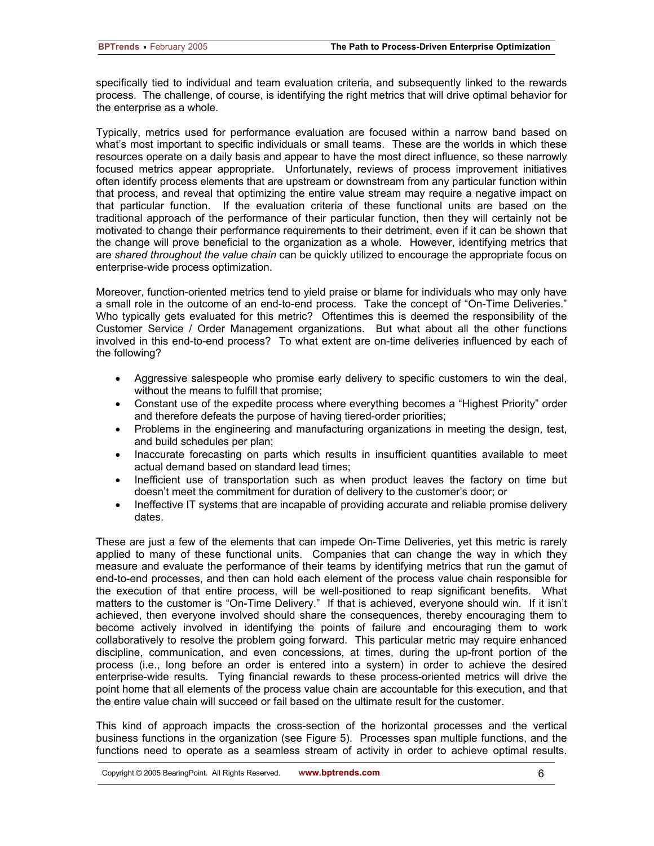specifically tied to individual and team evaluation criteria, and subsequently linked to the rewards process. The challenge, of course, is identifying the right metrics that will drive optimal behavior for the enterprise as a whole.

Typically, metrics used for performance evaluation are focused within a narrow band based on what's most important to specific individuals or small teams. These are the worlds in which these resources operate on a daily basis and appear to have the most direct influence, so these narrowly focused metrics appear appropriate. Unfortunately, reviews of process improvement initiatives often identify process elements that are upstream or downstream from any particular function within that process, and reveal that optimizing the entire value stream may require a negative impact on that particular function. If the evaluation criteria of these functional units are based on the traditional approach of the performance of their particular function, then they will certainly not be motivated to change their performance requirements to their detriment, even if it can be shown that the change will prove beneficial to the organization as a whole. However, identifying metrics that are *shared throughout the value chain* can be quickly utilized to encourage the appropriate focus on enterprise-wide process optimization.

Moreover, function-oriented metrics tend to yield praise or blame for individuals who may only have a small role in the outcome of an end-to-end process. Take the concept of "On-Time Deliveries." Who typically gets evaluated for this metric? Oftentimes this is deemed the responsibility of the Customer Service / Order Management organizations. But what about all the other functions involved in this end-to-end process? To what extent are on-time deliveries influenced by each of the following?

- Aggressive salespeople who promise early delivery to specific customers to win the deal, without the means to fulfill that promise;
- Constant use of the expedite process where everything becomes a "Highest Priority" order and therefore defeats the purpose of having tiered-order priorities;
- Problems in the engineering and manufacturing organizations in meeting the design, test, and build schedules per plan;
- Inaccurate forecasting on parts which results in insufficient quantities available to meet actual demand based on standard lead times;
- Inefficient use of transportation such as when product leaves the factory on time but doesn't meet the commitment for duration of delivery to the customer's door; or
- Ineffective IT systems that are incapable of providing accurate and reliable promise delivery dates.

These are just a few of the elements that can impede On-Time Deliveries, yet this metric is rarely applied to many of these functional units. Companies that can change the way in which they measure and evaluate the performance of their teams by identifying metrics that run the gamut of end-to-end processes, and then can hold each element of the process value chain responsible for the execution of that entire process, will be well-positioned to reap significant benefits. What matters to the customer is "On-Time Delivery." If that is achieved, everyone should win. If it isn't achieved, then everyone involved should share the consequences, thereby encouraging them to become actively involved in identifying the points of failure and encouraging them to work collaboratively to resolve the problem going forward. This particular metric may require enhanced discipline, communication, and even concessions, at times, during the up-front portion of the process (i.e., long before an order is entered into a system) in order to achieve the desired enterprise-wide results. Tying financial rewards to these process-oriented metrics will drive the point home that all elements of the process value chain are accountable for this execution, and that the entire value chain will succeed or fail based on the ultimate result for the customer.

This kind of approach impacts the cross-section of the horizontal processes and the vertical business functions in the organization (see Figure 5). Processes span multiple functions, and the functions need to operate as a seamless stream of activity in order to achieve optimal results.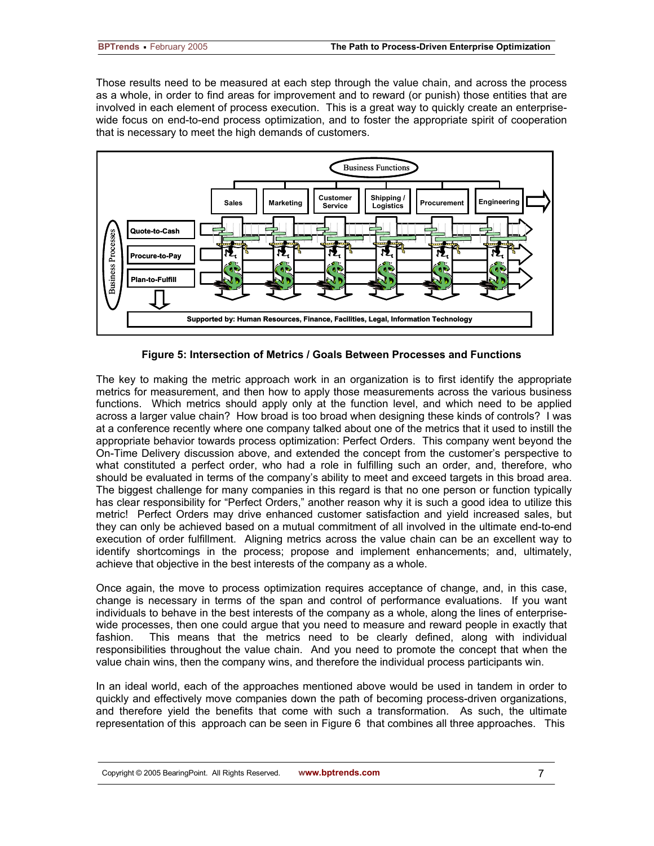Those results need to be measured at each step through the value chain, and across the process as a whole, in order to find areas for improvement and to reward (or punish) those entities that are involved in each element of process execution. This is a great way to quickly create an enterprisewide focus on end-to-end process optimization, and to foster the appropriate spirit of cooperation that is necessary to meet the high demands of customers.



**Figure 5: Intersection of Metrics / Goals Between Processes and Functions** 

The key to making the metric approach work in an organization is to first identify the appropriate metrics for measurement, and then how to apply those measurements across the various business functions. Which metrics should apply only at the function level, and which need to be applied across a larger value chain? How broad is too broad when designing these kinds of controls? I was at a conference recently where one company talked about one of the metrics that it used to instill the appropriate behavior towards process optimization: Perfect Orders. This company went beyond the On-Time Delivery discussion above, and extended the concept from the customer's perspective to what constituted a perfect order, who had a role in fulfilling such an order, and, therefore, who should be evaluated in terms of the company's ability to meet and exceed targets in this broad area. The biggest challenge for many companies in this regard is that no one person or function typically has clear responsibility for "Perfect Orders," another reason why it is such a good idea to utilize this metric! Perfect Orders may drive enhanced customer satisfaction and yield increased sales, but they can only be achieved based on a mutual commitment of all involved in the ultimate end-to-end execution of order fulfillment. Aligning metrics across the value chain can be an excellent way to identify shortcomings in the process; propose and implement enhancements; and, ultimately, achieve that objective in the best interests of the company as a whole.

Once again, the move to process optimization requires acceptance of change, and, in this case, change is necessary in terms of the span and control of performance evaluations. If you want individuals to behave in the best interests of the company as a whole, along the lines of enterprisewide processes, then one could argue that you need to measure and reward people in exactly that fashion. This means that the metrics need to be clearly defined, along with individual responsibilities throughout the value chain. And you need to promote the concept that when the value chain wins, then the company wins, and therefore the individual process participants win.

In an ideal world, each of the approaches mentioned above would be used in tandem in order to quickly and effectively move companies down the path of becoming process-driven organizations, and therefore yield the benefits that come with such a transformation. As such, the ultimate representation of this approach can be seen in Figure 6 that combines all three approaches. This